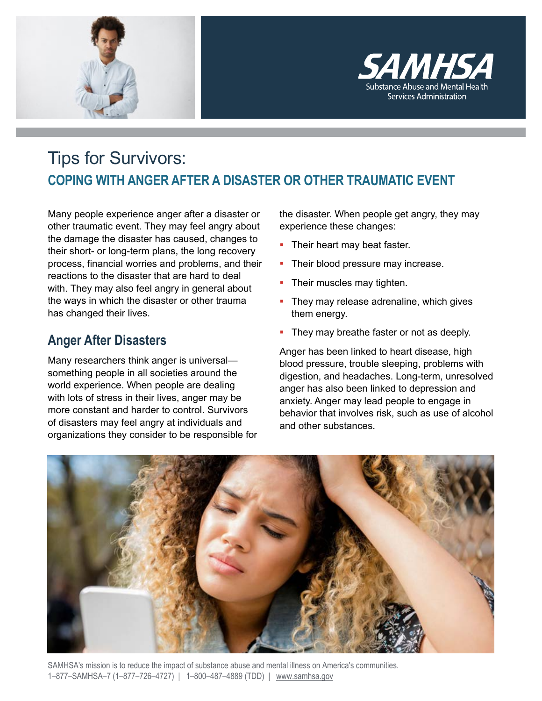



# Tips for Survivors: **COPING WITH ANGER AFTER A DISASTER OR OTHER TRAUMATIC EVENT**

Many people experience anger after a disaster or other traumatic event. They may feel angry about the damage the disaster has caused, changes to their short- or long-term plans, the long recovery process, financial worries and problems, and their reactions to the disaster that are hard to deal with. They may also feel angry in general about the ways in which the disaster or other trauma has changed their lives.

## **Anger After Disasters**

Many researchers think anger is universal something people in all societies around the world experience. When people are dealing with lots of stress in their lives, anger may be more constant and harder to control. Survivors of disasters may feel angry at individuals and organizations they consider to be responsible for the disaster. When people get angry, they may experience these changes:

- Their heart may beat faster.
- Their blood pressure may increase.
- Their muscles may tighten.
- They may release adrenaline, which gives them energy.
- They may breathe faster or not as deeply.

Anger has been linked to heart disease, high blood pressure, trouble sleeping, problems with digestion, and headaches. Long-term, unresolved anger has also been linked to depression and anxiety. Anger may lead people to engage in behavior that involves risk, such as use of alcohol and other substances.



SAMHSA's mission is to reduce the impact of substance abuse and mental illness on America's communities. 1–877–SAMHSA–7 (1–877–726–4727) | 1–800–487–4889 (TDD) | www.samhsa.gov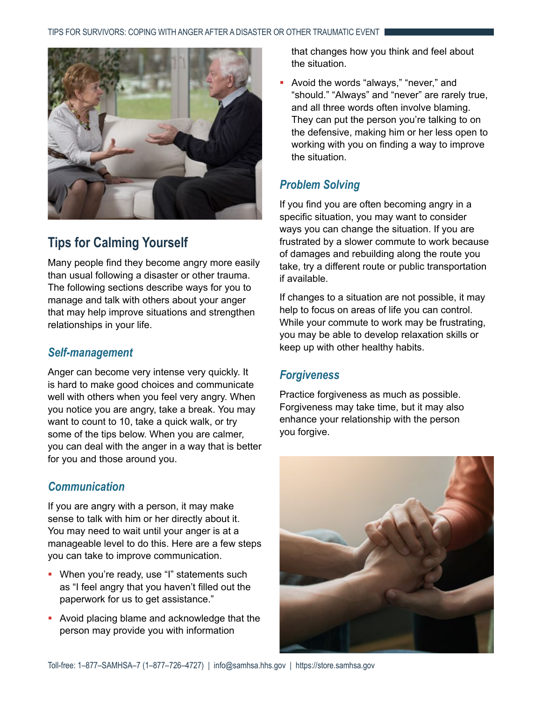

## **Tips for Calming Yourself**

Many people find they become angry more easily than usual following a disaster or other trauma. The following sections describe ways for you to manage and talk with others about your anger that may help improve situations and strengthen relationships in your life.

#### *Self-management*

Anger can become very intense very quickly. It is hard to make good choices and communicate well with others when you feel very angry. When you notice you are angry, take a break. You may want to count to 10, take a quick walk, or try some of the tips below. When you are calmer, you can deal with the anger in a way that is better for you and those around you.

### *Communication*

If you are angry with a person, it may make sense to talk with him or her directly about it. You may need to wait until your anger is at a manageable level to do this. Here are a few steps you can take to improve communication.

- **•** When you're ready, use "I" statements such as "I feel angry that you haven't filled out the paperwork for us to get assistance."
- Avoid placing blame and acknowledge that the person may provide you with information

that changes how you think and feel about the situation.

 Avoid the words "always," "never," and "should." "Always" and "never" are rarely true, and all three words often involve blaming. They can put the person you're talking to on the defensive, making him or her less open to working with you on finding a way to improve the situation.

### *Problem Solving*

If you find you are often becoming angry in a specific situation, you may want to consider ways you can change the situation. If you are frustrated by a slower commute to work because of damages and rebuilding along the route you take, try a different route or public transportation if available.

If changes to a situation are not possible, it may help to focus on areas of life you can control. While your commute to work may be frustrating, you may be able to develop relaxation skills or keep up with other healthy habits.

### *Forgiveness*

Practice forgiveness as much as possible. Forgiveness may take time, but it may also enhance your relationship with the person you forgive.

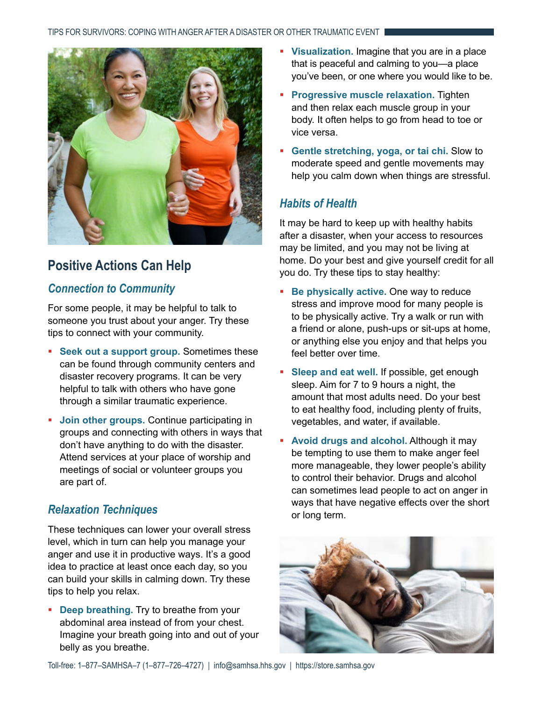

## **Positive Actions Can Help**

### *Connection to Community*

For some people, it may be helpful to talk to someone you trust about your anger. Try these tips to connect with your community.

- **Seek out a support group.** Sometimes these can be found through community centers and disaster recovery programs. It can be very helpful to talk with others who have gone through a similar traumatic experience.
- **Join other groups.** Continue participating in groups and connecting with others in ways that don't have anything to do with the disaster. Attend services at your place of worship and meetings of social or volunteer groups you are part of.

### *Relaxation Techniques*

These techniques can lower your overall stress level, which in turn can help you manage your anger and use it in productive ways. It's a good idea to practice at least once each day, so you can build your skills in calming down. Try these tips to help you relax.

**-** Deep breathing. Try to breathe from your abdominal area instead of from your chest. Imagine your breath going into and out of your belly as you breathe.

- **Visualization.** Imagine that you are in a place that is peaceful and calming to you—a place you've been, or one where you would like to be.
- **Progressive muscle relaxation.** Tighten and then relax each muscle group in your body. It often helps to go from head to toe or vice versa.
- **Gentle stretching, yoga, or tai chi.** Slow to moderate speed and gentle movements may help you calm down when things are stressful.

### *Habits of Health*

It may be hard to keep up with healthy habits after a disaster, when your access to resources may be limited, and you may not be living at home. Do your best and give yourself credit for all you do. Try these tips to stay healthy:

- **Be physically active.** One way to reduce stress and improve mood for many people is to be physically active. Try a walk or run with a friend or alone, push-ups or sit-ups at home, or anything else you enjoy and that helps you feel better over time.
- **Sleep and eat well.** If possible, get enough sleep. Aim for 7 to 9 hours a night, the amount that most adults need. Do your best to eat healthy food, including plenty of fruits, vegetables, and water, if available.
- **Avoid drugs and alcohol.** Although it may be tempting to use them to make anger feel more manageable, they lower people's ability to control their behavior. Drugs and alcohol can sometimes lead people to act on anger in ways that have negative effects over the short or long term.